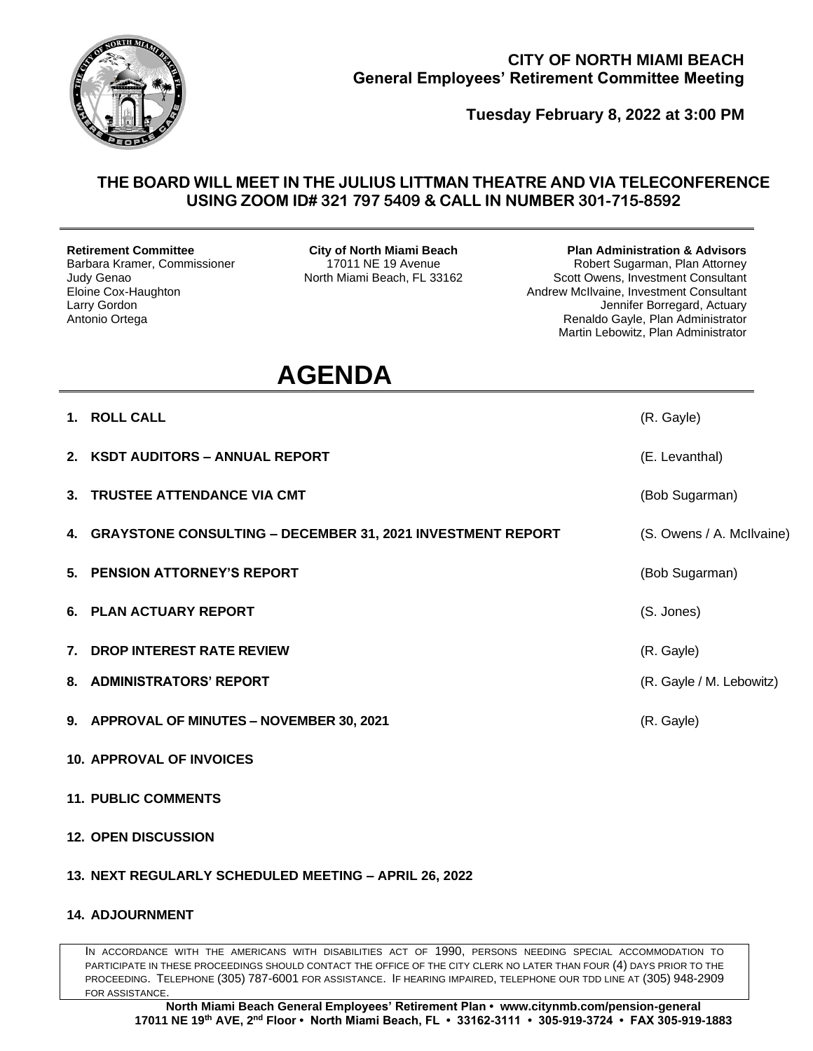

## **CITY OF NORTH MIAMI BEACH General Employees' Retirement Committee Meeting**

**Tuesday February 8, 2022 at 3:00 PM**

## **THE BOARD WILL MEET IN THE JULIUS LITTMAN THEATRE AND VIA TELECONFERENCE USING ZOOM ID# 321 797 5409 & CALL IN NUMBER 301-715-8592**

**Retirement Committee** Barbara Kramer, Commissioner Judy Genao Eloine Cox-Haughton Larry Gordon Antonio Ortega

**City of North Miami Beach** 17011 NE 19 Avenue North Miami Beach, FL 33162 **Plan Administration & Advisors**

Robert Sugarman, Plan Attorney Scott Owens, Investment Consultant Andrew McIlvaine, Investment Consultant Jennifer Borregard, Actuary Renaldo Gayle, Plan Administrator Martin Lebowitz, Plan Administrator

## **AGENDA**

- **1. ROLL CALL** (R. Gayle) **2. KSDT AUDITORS – ANNUAL REPORT** (E. Levanthal) **3. TRUSTEE ATTENDANCE VIA CMT CONTRACTE AND A CONTRACT CONTRACT (Bob Sugarman) 4. GRAYSTONE CONSULTING – DECEMBER 31, 2021 INVESTMENT REPORT** (S. Owens / A. McIlvaine) **5. PENSION ATTORNEY'S REPORT** (Bob Sugarman) **6. PLAN ACTUARY REPORT** (S. Jones) **7. DROP INTEREST RATE REVIEW** (R. Gayle) **8. ADMINISTRATORS' REPORT** (R. Gayle / M. Lebowitz) **9. APPROVAL OF MINUTES – NOVEMBER 30, 2021** (R. Gayle)
- **10. APPROVAL OF INVOICES**
- **11. PUBLIC COMMENTS**
- **12. OPEN DISCUSSION**
- **13. NEXT REGULARLY SCHEDULED MEETING – APRIL 26, 2022**
- **14. ADJOURNMENT**

IN ACCORDANCE WITH THE AMERICANS WITH DISABILITIES ACT OF 1990, PERSONS NEEDING SPECIAL ACCOMMODATION TO PARTICIPATE IN THESE PROCEEDINGS SHOULD CONTACT THE OFFICE OF THE CITY CLERK NO LATER THAN FOUR (4) DAYS PRIOR TO THE PROCEEDING. TELEPHONE (305) 787-6001 FOR ASSISTANCE. IF HEARING IMPAIRED, TELEPHONE OUR TDD LINE AT (305) 948-2909 FOR ASSISTANCE.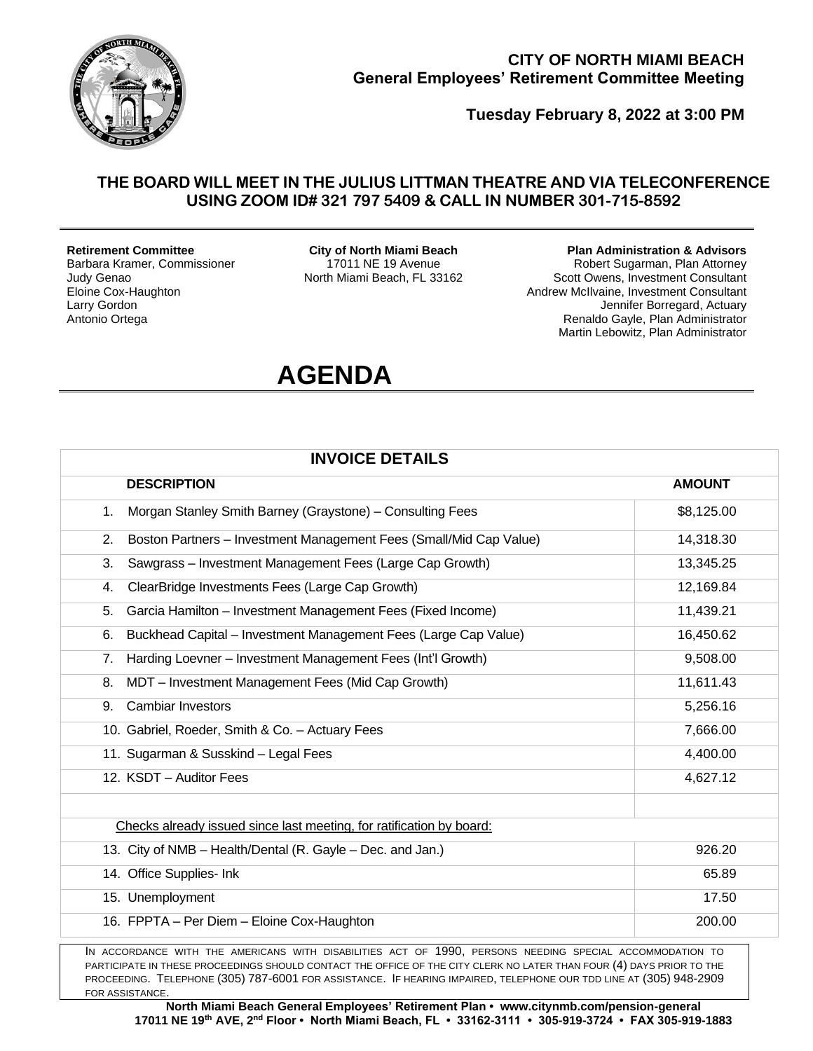

## **CITY OF NORTH MIAMI BEACH General Employees' Retirement Committee Meeting**

**Tuesday February 8, 2022 at 3:00 PM**

## **THE BOARD WILL MEET IN THE JULIUS LITTMAN THEATRE AND VIA TELECONFERENCE USING ZOOM ID# 321 797 5409 & CALL IN NUMBER 301-715-8592**

#### **Retirement Committee**

Barbara Kramer, Commissioner Judy Genao Eloine Cox-Haughton Larry Gordon Antonio Ortega

**City of North Miami Beach** 17011 NE 19 Avenue North Miami Beach, FL 33162

#### **Plan Administration & Advisors**

Robert Sugarman, Plan Attorney Scott Owens, Investment Consultant Andrew McIlvaine, Investment Consultant Jennifer Borregard, Actuary Renaldo Gayle, Plan Administrator Martin Lebowitz, Plan Administrator

## **AGENDA**

| <b>INVOICE DETAILS</b>                                                   |               |  |
|--------------------------------------------------------------------------|---------------|--|
| <b>DESCRIPTION</b>                                                       | <b>AMOUNT</b> |  |
| Morgan Stanley Smith Barney (Graystone) - Consulting Fees<br>1.          | \$8,125.00    |  |
| Boston Partners - Investment Management Fees (Small/Mid Cap Value)<br>2. | 14,318.30     |  |
| Sawgrass - Investment Management Fees (Large Cap Growth)<br>3.           | 13,345.25     |  |
| ClearBridge Investments Fees (Large Cap Growth)<br>4.                    | 12,169.84     |  |
| Garcia Hamilton - Investment Management Fees (Fixed Income)<br>5.        | 11,439.21     |  |
| Buckhead Capital - Investment Management Fees (Large Cap Value)<br>6.    | 16,450.62     |  |
| Harding Loevner - Investment Management Fees (Int'l Growth)<br>7.        | 9,508.00      |  |
| MDT - Investment Management Fees (Mid Cap Growth)<br>8.                  | 11,611.43     |  |
| <b>Cambiar Investors</b><br>9.                                           | 5,256.16      |  |
| 10. Gabriel, Roeder, Smith & Co. - Actuary Fees                          | 7,666.00      |  |
| 11. Sugarman & Susskind - Legal Fees                                     | 4,400.00      |  |
| 12. KSDT - Auditor Fees                                                  | 4,627.12      |  |
| Checks already issued since last meeting, for ratification by board:     |               |  |
| 13. City of NMB - Health/Dental (R. Gayle - Dec. and Jan.)               | 926.20        |  |
| 14. Office Supplies- Ink                                                 | 65.89         |  |
| 15. Unemployment                                                         | 17.50         |  |
| 16. FPPTA - Per Diem - Eloine Cox-Haughton                               | 200.00        |  |

PARTICIPATE IN THESE PROCEEDINGS SHOULD CONTACT THE OFFICE OF THE CITY CLERK NO LATER THAN FOUR (4) DAYS PRIOR TO THE PROCEEDING. TELEPHONE (305) 787-6001 FOR ASSISTANCE. IF HEARING IMPAIRED, TELEPHONE OUR TDD LINE AT (305) 948-2909 FOR ASSISTANCE.